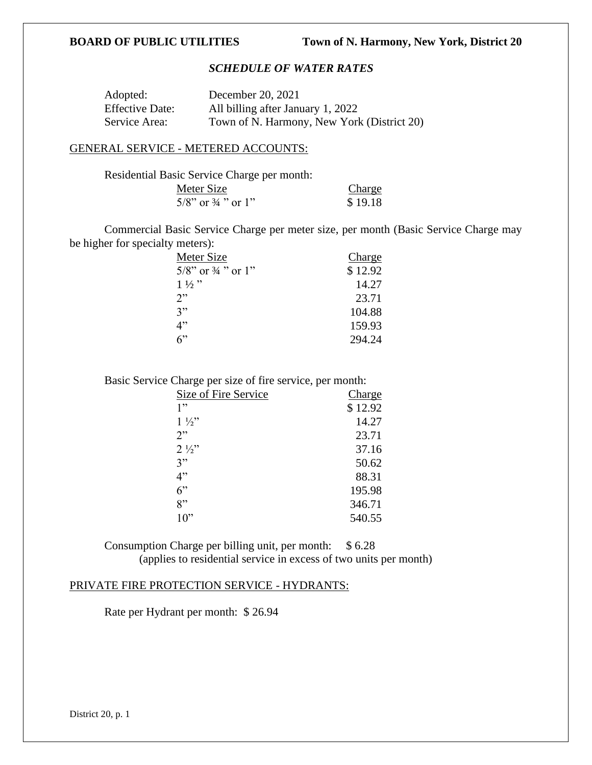# *SCHEDULE OF WATER RATES*

| Adopted:               | December 20, 2021                          |
|------------------------|--------------------------------------------|
| <b>Effective Date:</b> | All billing after January 1, 2022          |
| Service Area:          | Town of N. Harmony, New York (District 20) |

### GENERAL SERVICE - METERED ACCOUNTS:

| Residential Basic Service Charge per month: |         |
|---------------------------------------------|---------|
| Meter Size                                  | Charge  |
| $5/8$ " or $\frac{3}{4}$ " or 1"            | \$19.18 |

Commercial Basic Service Charge per meter size, per month (Basic Service Charge may be higher for specialty meters):

| Meter Size                       | <b>Charge</b> |
|----------------------------------|---------------|
| $5/8$ " or $\frac{3}{4}$ " or 1" | \$12.92       |
| $1\frac{1}{2}$ "                 | 14.27         |
| 2"                               | 23.71         |
| 3"                               | 104.88        |
| 4"                               | 159.93        |
| 6                                | 294.24        |

Basic Service Charge per size of fire service, per month:

| Size of Fire Service | Charge  |
|----------------------|---------|
| 1"                   | \$12.92 |
| $1\frac{1}{2}$       | 14.27   |
| 2"                   | 23.71   |
| $2\frac{1}{2}$       | 37.16   |
| 3"                   | 50.62   |
| 4"                   | 88.31   |
| $6$ "                | 195.98  |
| 8"                   | 346.71  |
| 10"                  | 540.55  |

Consumption Charge per billing unit, per month: \$ 6.28 (applies to residential service in excess of two units per month)

# PRIVATE FIRE PROTECTION SERVICE - HYDRANTS:

Rate per Hydrant per month: \$ 26.94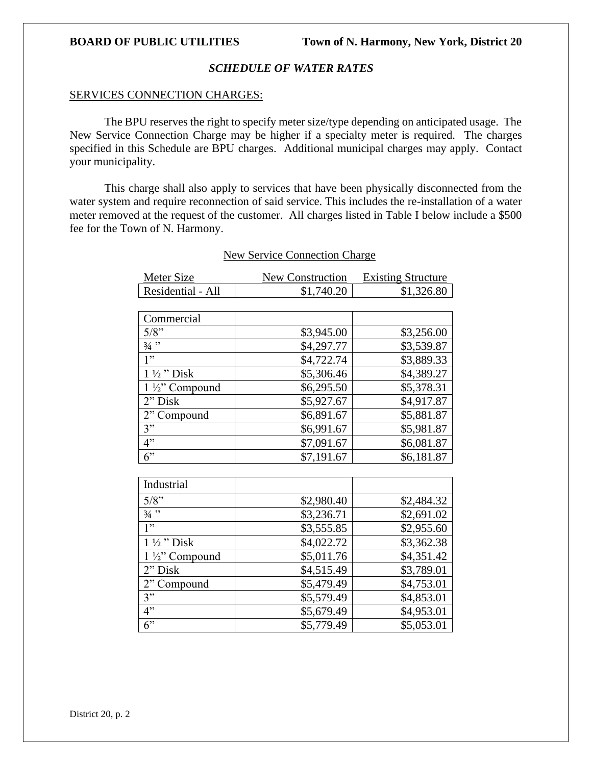### *SCHEDULE OF WATER RATES*

### SERVICES CONNECTION CHARGES:

The BPU reserves the right to specify meter size/type depending on anticipated usage. The New Service Connection Charge may be higher if a specialty meter is required. The charges specified in this Schedule are BPU charges. Additional municipal charges may apply. Contact your municipality.

This charge shall also apply to services that have been physically disconnected from the water system and require reconnection of said service. This includes the re-installation of a water meter removed at the request of the customer. All charges listed in Table I below include a \$500 fee for the Town of N. Harmony.

| Residential - All         | \$1,740.20 | \$1,326.80 |
|---------------------------|------------|------------|
|                           |            |            |
| Commercial                |            |            |
| 5/8"                      | \$3,945.00 | \$3,256.00 |
| $3/4$ "                   | \$4,297.77 | \$3,539.87 |
| 1"                        | \$4,722.74 | \$3,889.33 |
| $1\frac{1}{2}$ " Disk     | \$5,306.46 | \$4,389.27 |
| $1\frac{1}{2}$ " Compound | \$6,295.50 | \$5,378.31 |
| 2" Disk                   | \$5,927.67 | \$4,917.87 |
| 2" Compound               | \$6,891.67 | \$5,881.87 |
| 3"                        | \$6,991.67 | \$5,981.87 |
| 4"                        | \$7,091.67 | \$6,081.87 |
| 6"                        | \$7,191.67 | \$6,181.87 |

# New Service Connection Charge

Meter Size New Construction Existing Structure

| Industrial                |            |            |
|---------------------------|------------|------------|
| $5/8$ "                   | \$2,980.40 | \$2,484.32 |
| $3/4$ "                   | \$3,236.71 | \$2,691.02 |
| 1"                        | \$3,555.85 | \$2,955.60 |
| $1\frac{1}{2}$ "Disk      | \$4,022.72 | \$3,362.38 |
| $1\frac{1}{2}$ " Compound | \$5,011.76 | \$4,351.42 |
| $2"$ Disk                 | \$4,515.49 | \$3,789.01 |
| 2" Compound               | \$5,479.49 | \$4,753.01 |
| 3"                        | \$5,579.49 | \$4,853.01 |
| 4"                        | \$5,679.49 | \$4,953.01 |
| 6                         | \$5,779.49 | \$5,053.01 |